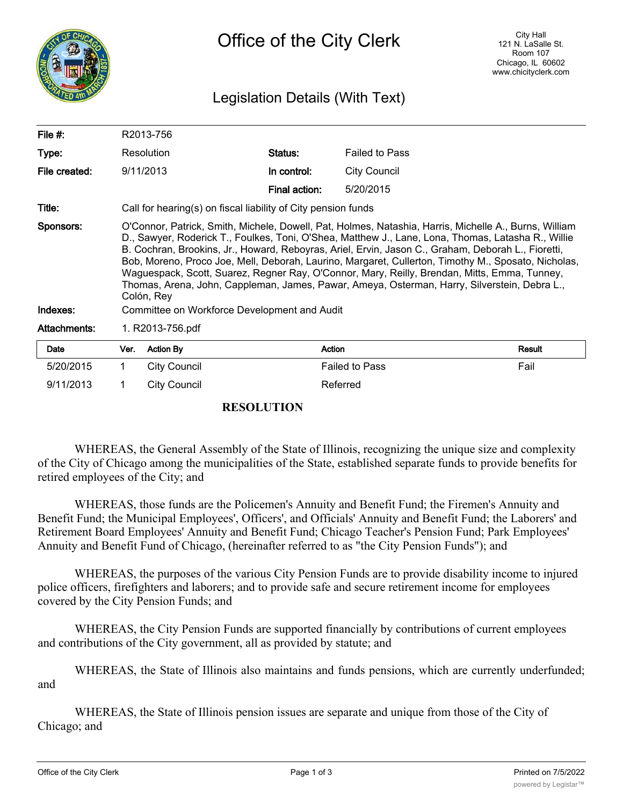

## Legislation Details (With Text)

| File #:               |                                                                                                                                                                                                                                                                                                                                                                                                                                                                                                                                                                                                                                                                                        | R2013-756           |               |                       |        |
|-----------------------|----------------------------------------------------------------------------------------------------------------------------------------------------------------------------------------------------------------------------------------------------------------------------------------------------------------------------------------------------------------------------------------------------------------------------------------------------------------------------------------------------------------------------------------------------------------------------------------------------------------------------------------------------------------------------------------|---------------------|---------------|-----------------------|--------|
| Type:                 |                                                                                                                                                                                                                                                                                                                                                                                                                                                                                                                                                                                                                                                                                        | Resolution          | Status:       | <b>Failed to Pass</b> |        |
| File created:         |                                                                                                                                                                                                                                                                                                                                                                                                                                                                                                                                                                                                                                                                                        | 9/11/2013           | In control:   | <b>City Council</b>   |        |
|                       |                                                                                                                                                                                                                                                                                                                                                                                                                                                                                                                                                                                                                                                                                        |                     | Final action: | 5/20/2015             |        |
| Title:                | Call for hearing(s) on fiscal liability of City pension funds                                                                                                                                                                                                                                                                                                                                                                                                                                                                                                                                                                                                                          |                     |               |                       |        |
| Sponsors:<br>Indexes: | O'Connor, Patrick, Smith, Michele, Dowell, Pat, Holmes, Natashia, Harris, Michelle A., Burns, William<br>D., Sawyer, Roderick T., Foulkes, Toni, O'Shea, Matthew J., Lane, Lona, Thomas, Latasha R., Willie<br>B. Cochran, Brookins, Jr., Howard, Reboyras, Ariel, Ervin, Jason C., Graham, Deborah L., Fioretti,<br>Bob, Moreno, Proco Joe, Mell, Deborah, Laurino, Margaret, Cullerton, Timothy M., Sposato, Nicholas,<br>Waguespack, Scott, Suarez, Regner Ray, O'Connor, Mary, Reilly, Brendan, Mitts, Emma, Tunney,<br>Thomas, Arena, John, Cappleman, James, Pawar, Ameya, Osterman, Harry, Silverstein, Debra L.,<br>Colón, Rey<br>Committee on Workforce Development and Audit |                     |               |                       |        |
| Attachments:          | 1. R2013-756.pdf                                                                                                                                                                                                                                                                                                                                                                                                                                                                                                                                                                                                                                                                       |                     |               |                       |        |
|                       |                                                                                                                                                                                                                                                                                                                                                                                                                                                                                                                                                                                                                                                                                        |                     |               |                       |        |
| Date                  | Ver.                                                                                                                                                                                                                                                                                                                                                                                                                                                                                                                                                                                                                                                                                   | <b>Action By</b>    | Action        |                       | Result |
| 5/20/2015             | $\mathbf 1$                                                                                                                                                                                                                                                                                                                                                                                                                                                                                                                                                                                                                                                                            | <b>City Council</b> |               | <b>Failed to Pass</b> | Fail   |
| 9/11/2013             |                                                                                                                                                                                                                                                                                                                                                                                                                                                                                                                                                                                                                                                                                        | City Council        |               | Referred              |        |

## **RESOLUTION**

WHEREAS, the General Assembly of the State of Illinois, recognizing the unique size and complexity of the City of Chicago among the municipalities of the State, established separate funds to provide benefits for retired employees of the City; and

WHEREAS, those funds are the Policemen's Annuity and Benefit Fund; the Firemen's Annuity and Benefit Fund; the Municipal Employees', Officers', and Officials' Annuity and Benefit Fund; the Laborers' and Retirement Board Employees' Annuity and Benefit Fund; Chicago Teacher's Pension Fund; Park Employees' Annuity and Benefit Fund of Chicago, (hereinafter referred to as "the City Pension Funds"); and

WHEREAS, the purposes of the various City Pension Funds are to provide disability income to injured police officers, firefighters and laborers; and to provide safe and secure retirement income for employees covered by the City Pension Funds; and

WHEREAS, the City Pension Funds are supported financially by contributions of current employees and contributions of the City government, all as provided by statute; and

WHEREAS, the State of Illinois also maintains and funds pensions, which are currently underfunded; and

WHEREAS, the State of Illinois pension issues are separate and unique from those of the City of Chicago; and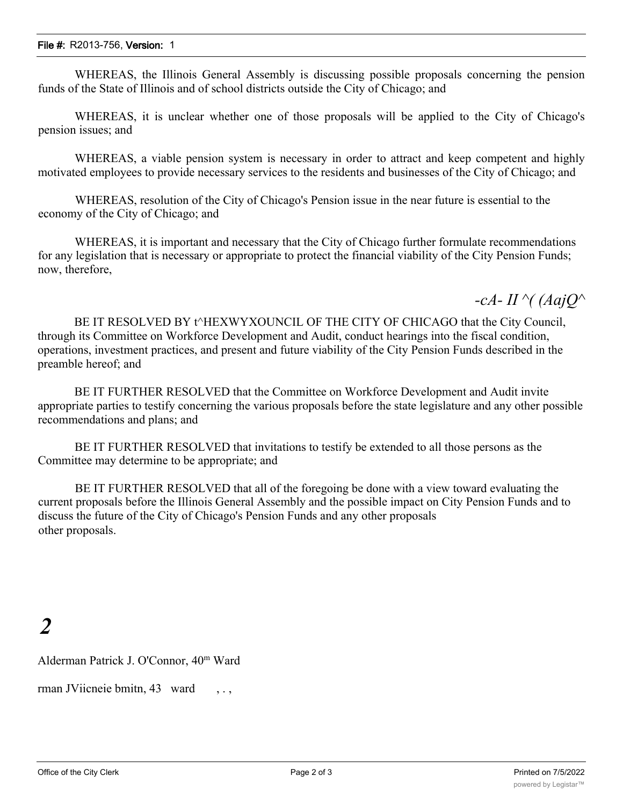WHEREAS, the Illinois General Assembly is discussing possible proposals concerning the pension funds of the State of Illinois and of school districts outside the City of Chicago; and

WHEREAS, it is unclear whether one of those proposals will be applied to the City of Chicago's pension issues; and

WHEREAS, a viable pension system is necessary in order to attract and keep competent and highly motivated employees to provide necessary services to the residents and businesses of the City of Chicago; and

WHEREAS, resolution of the City of Chicago's Pension issue in the near future is essential to the economy of the City of Chicago; and

WHEREAS, it is important and necessary that the City of Chicago further formulate recommendations for any legislation that is necessary or appropriate to protect the financial viability of the City Pension Funds; now, therefore,

*-cA- II ^( (AajQ^*

BE IT RESOLVED BY t^HEXWYXOUNCIL OF THE CITY OF CHICAGO that the City Council, through its Committee on Workforce Development and Audit, conduct hearings into the fiscal condition, operations, investment practices, and present and future viability of the City Pension Funds described in the preamble hereof; and

BE IT FURTHER RESOLVED that the Committee on Workforce Development and Audit invite appropriate parties to testify concerning the various proposals before the state legislature and any other possible recommendations and plans; and

BE IT FURTHER RESOLVED that invitations to testify be extended to all those persons as the Committee may determine to be appropriate; and

BE IT FURTHER RESOLVED that all of the foregoing be done with a view toward evaluating the current proposals before the Illinois General Assembly and the possible impact on City Pension Funds and to discuss the future of the City of Chicago's Pension Funds and any other proposals other proposals.

## *2*

Alderman Patrick J. O'Connor, 40m Ward

rman JViicneie bmitn, 43 ward, ...